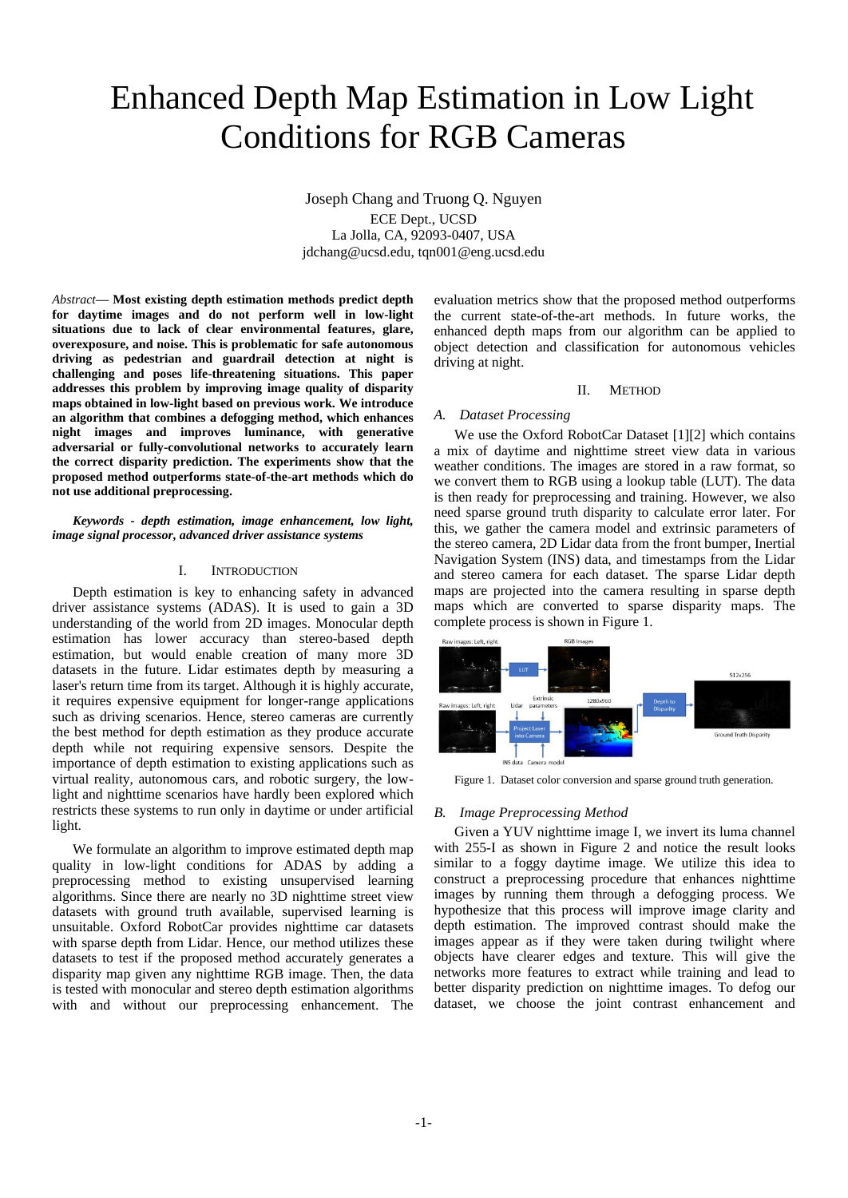# Enhanced Depth Map Estimation in Low Light Conditions for RGB Cameras

Joseph Chang and Truong Q. Nguyen ECE Dept., UCSD La Jolla, CA, 92093-0407, USA jdchang@ucsd.edu, tqn001@eng.ucsd.edu

*Abstract***— Most existing depth estimation methods predict depth for daytime images and do not perform well in low-light situations due to lack of clear environmental features, glare, overexposure, and noise. This is problematic for safe autonomous driving as pedestrian and guardrail detection at night is challenging and poses life-threatening situations. This paper addresses this problem by improving image quality of disparity maps obtained in low-light based on previous work. We introduce an algorithm that combines a defogging method, which enhances night images and improves luminance, with generative adversarial or fully-convolutional networks to accurately learn the correct disparity prediction. The experiments show that the proposed method outperforms state-of-the-art methods which do not use additional preprocessing.**

*Keywords - depth estimation, image enhancement, low light, image signal processor, advanced driver assistance systems*

## I. INTRODUCTION

Depth estimation is key to enhancing safety in advanced driver assistance systems (ADAS). It is used to gain a 3D understanding of the world from 2D images. Monocular depth estimation has lower accuracy than stereo-based depth estimation, but would enable creation of many more 3D datasets in the future. Lidar estimates depth by measuring a laser's return time from its target. Although it is highly accurate, it requires expensive equipment for longer-range applications such as driving scenarios. Hence, stereo cameras are currently the best method for depth estimation as they produce accurate depth while not requiring expensive sensors. Despite the importance of depth estimation to existing applications such as virtual reality, autonomous cars, and robotic surgery, the lowlight and nighttime scenarios have hardly been explored which restricts these systems to run only in daytime or under artificial light.

We formulate an algorithm to improve estimated depth map quality in low-light conditions for ADAS by adding a preprocessing method to existing unsupervised learning algorithms. Since there are nearly no 3D nighttime street view datasets with ground truth available, supervised learning is unsuitable. Oxford RobotCar provides nighttime car datasets with sparse depth from Lidar. Hence, our method utilizes these datasets to test if the proposed method accurately generates a disparity map given any nighttime RGB image. Then, the data is tested with monocular and stereo depth estimation algorithms with and without our preprocessing enhancement. The

evaluation metrics show that the proposed method outperforms the current state-of-the-art methods. In future works, the enhanced depth maps from our algorithm can be applied to object detection and classification for autonomous vehicles driving at night.

#### II. METHOD

# *A. Dataset Processing*

We use the Oxford RobotCar Dataset [1][2] which contains a mix of daytime and nighttime street view data in various weather conditions. The images are stored in a raw format, so we convert them to RGB using a lookup table (LUT). The data is then ready for preprocessing and training. However, we also need sparse ground truth disparity to calculate error later. For this, we gather the camera model and extrinsic parameters of the stereo camera, 2D Lidar data from the front bumper, Inertial Navigation System (INS) data, and timestamps from the Lidar and stereo camera for each dataset. The sparse Lidar depth maps are projected into the camera resulting in sparse depth maps which are converted to sparse disparity maps. The complete process is shown in Figure 1.



Figure 1. Dataset color conversion and sparse ground truth generation.

#### *B. Image Preprocessing Method*

Given a YUV nighttime image I, we invert its luma channel with 255-I as shown in Figure 2 and notice the result looks similar to a foggy daytime image. We utilize this idea to construct a preprocessing procedure that enhances nighttime images by running them through a defogging process. We hypothesize that this process will improve image clarity and depth estimation. The improved contrast should make the images appear as if they were taken during twilight where objects have clearer edges and texture. This will give the networks more features to extract while training and lead to better disparity prediction on nighttime images. To defog our dataset, we choose the joint contrast enhancement and